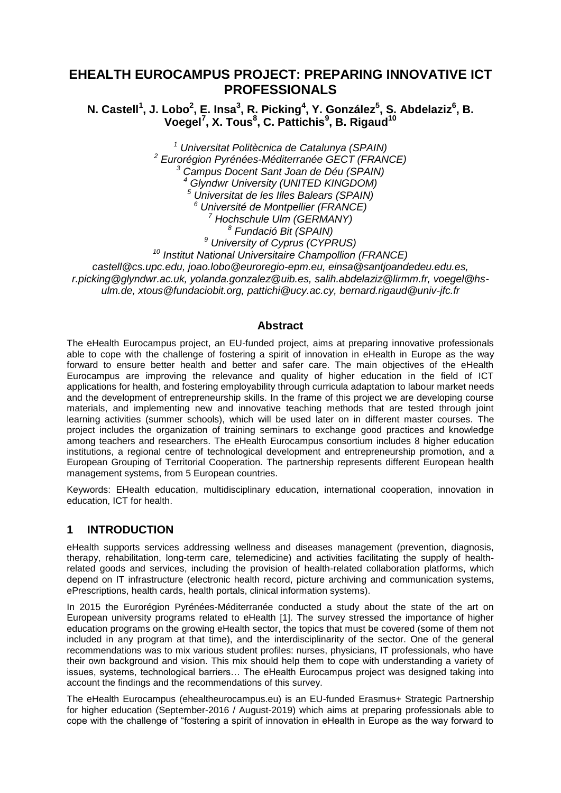# **EHEALTH EUROCAMPUS PROJECT: PREPARING INNOVATIVE ICT PROFESSIONALS**

**N. Castell<sup>1</sup> , J. Lobo<sup>2</sup> , E. Insa<sup>3</sup> , R. Picking<sup>4</sup> , Y. González<sup>5</sup> , S. Abdelaziz<sup>6</sup> , B. Voegel<sup>7</sup> , X. Tous<sup>8</sup> , C. Pattichis<sup>9</sup> , B. Rigaud<sup>10</sup>**

 *Universitat Politècnica de Catalunya (SPAIN) Eurorégion Pyrénées-Méditerranée GECT (FRANCE) Campus Docent Sant Joan de Déu (SPAIN) Glyndwr University (UNITED KINGDOM) Universitat de les Illes Balears (SPAIN) Université de Montpellier (FRANCE) Hochschule Ulm (GERMANY) Fundació Bit (SPAIN) University of Cyprus (CYPRUS) Institut National Universitaire Champollion (FRANCE) castell@cs.upc.edu, joao.lobo@euroregio-epm.eu, einsa@santjoandedeu.edu.es,* 

*r.picking@glyndwr.ac.uk, yolanda.gonzalez@uib.es, salih.abdelaziz@lirmm.fr, voegel@hsulm.de, xtous@fundaciobit.org, pattichi@ucy.ac.cy, bernard.rigaud@univ-jfc.fr*

### **Abstract**

The eHealth Eurocampus project, an EU-funded project, aims at preparing innovative professionals able to cope with the challenge of fostering a spirit of innovation in eHealth in Europe as the way forward to ensure better health and better and safer care. The main objectives of the eHealth Eurocampus are improving the relevance and quality of higher education in the field of ICT applications for health, and fostering employability through curricula adaptation to labour market needs and the development of entrepreneurship skills. In the frame of this project we are developing course materials, and implementing new and innovative teaching methods that are tested through joint learning activities (summer schools), which will be used later on in different master courses. The project includes the organization of training seminars to exchange good practices and knowledge among teachers and researchers. The eHealth Eurocampus consortium includes 8 higher education institutions, a regional centre of technological development and entrepreneurship promotion, and a European Grouping of Territorial Cooperation. The partnership represents different European health management systems, from 5 European countries.

Keywords: EHealth education, multidisciplinary education, international cooperation, innovation in education, ICT for health.

## **1 INTRODUCTION**

eHealth supports services addressing wellness and diseases management (prevention, diagnosis, therapy, rehabilitation, long-term care, telemedicine) and activities facilitating the supply of healthrelated goods and services, including the provision of health-related collaboration platforms, which depend on IT infrastructure (electronic health record, picture archiving and communication systems, ePrescriptions, health cards, health portals, clinical information systems).

In 2015 the Eurorégion Pyrénées-Méditerranée conducted a study about the state of the art on European university programs related to eHealth [1]. The survey stressed the importance of higher education programs on the growing eHealth sector, the topics that must be covered (some of them not included in any program at that time), and the interdisciplinarity of the sector. One of the general recommendations was to mix various student profiles: nurses, physicians, IT professionals, who have their own background and vision. This mix should help them to cope with understanding a variety of issues, systems, technological barriers… The eHealth Eurocampus project was designed taking into account the findings and the recommendations of this survey.

The eHealth Eurocampus (ehealtheurocampus.eu) is an EU-funded Erasmus+ Strategic Partnership for higher education (September-2016 / August-2019) which aims at preparing professionals able to cope with the challenge of "fostering a spirit of innovation in eHealth in Europe as the way forward to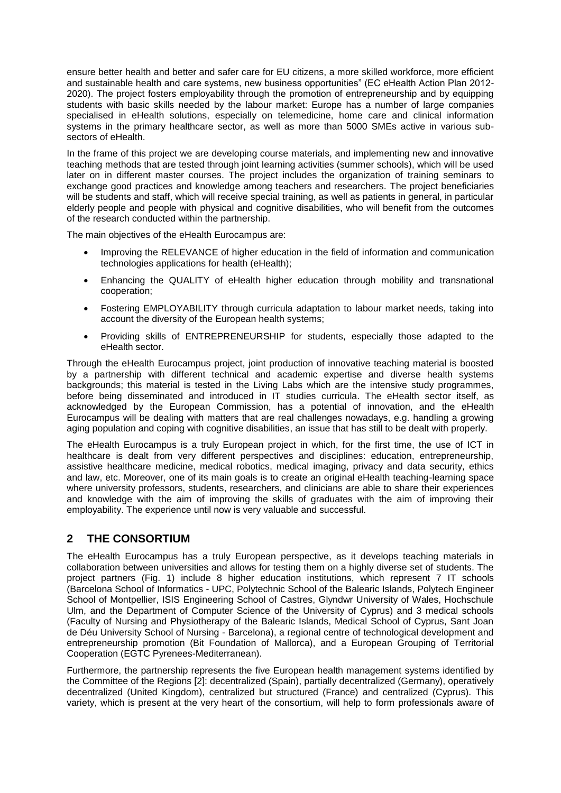ensure better health and better and safer care for EU citizens, a more skilled workforce, more efficient and sustainable health and care systems, new business opportunities" (EC eHealth Action Plan 2012- 2020). The project fosters employability through the promotion of entrepreneurship and by equipping students with basic skills needed by the labour market: Europe has a number of large companies specialised in eHealth solutions, especially on telemedicine, home care and clinical information systems in the primary healthcare sector, as well as more than 5000 SMEs active in various subsectors of eHealth.

In the frame of this project we are developing course materials, and implementing new and innovative teaching methods that are tested through joint learning activities (summer schools), which will be used later on in different master courses. The project includes the organization of training seminars to exchange good practices and knowledge among teachers and researchers. The project beneficiaries will be students and staff, which will receive special training, as well as patients in general, in particular elderly people and people with physical and cognitive disabilities, who will benefit from the outcomes of the research conducted within the partnership.

The main objectives of the eHealth Eurocampus are:

- Improving the RELEVANCE of higher education in the field of information and communication technologies applications for health (eHealth);
- Enhancing the QUALITY of eHealth higher education through mobility and transnational cooperation;
- Fostering EMPLOYABILITY through curricula adaptation to labour market needs, taking into account the diversity of the European health systems;
- Providing skills of ENTREPRENEURSHIP for students, especially those adapted to the eHealth sector.

Through the eHealth Eurocampus project, joint production of innovative teaching material is boosted by a partnership with different technical and academic expertise and diverse health systems backgrounds; this material is tested in the Living Labs which are the intensive study programmes, before being disseminated and introduced in IT studies curricula. The eHealth sector itself, as acknowledged by the European Commission, has a potential of innovation, and the eHealth Eurocampus will be dealing with matters that are real challenges nowadays, e.g. handling a growing aging population and coping with cognitive disabilities, an issue that has still to be dealt with properly.

The eHealth Eurocampus is a truly European project in which, for the first time, the use of ICT in healthcare is dealt from very different perspectives and disciplines: education, entrepreneurship, assistive healthcare medicine, medical robotics, medical imaging, privacy and data security, ethics and law, etc. Moreover, one of its main goals is to create an original eHealth teaching-learning space where university professors, students, researchers, and clinicians are able to share their experiences and knowledge with the aim of improving the skills of graduates with the aim of improving their employability. The experience until now is very valuable and successful.

## **2 THE CONSORTIUM**

The eHealth Eurocampus has a truly European perspective, as it develops teaching materials in collaboration between universities and allows for testing them on a highly diverse set of students. The project partners (Fig. 1) include 8 higher education institutions, which represent 7 IT schools (Barcelona School of Informatics - UPC, Polytechnic School of the Balearic Islands, Polytech Engineer School of Montpellier, ISIS Engineering School of Castres, Glyndwr University of Wales, Hochschule Ulm, and the Department of Computer Science of the University of Cyprus) and 3 medical schools (Faculty of Nursing and Physiotherapy of the Balearic Islands, Medical School of Cyprus, Sant Joan de Déu University School of Nursing - Barcelona), a regional centre of technological development and entrepreneurship promotion (Bit Foundation of Mallorca), and a European Grouping of Territorial Cooperation (EGTC Pyrenees-Mediterranean).

Furthermore, the partnership represents the five European health management systems identified by the Committee of the Regions [2]: decentralized (Spain), partially decentralized (Germany), operatively decentralized (United Kingdom), centralized but structured (France) and centralized (Cyprus). This variety, which is present at the very heart of the consortium, will help to form professionals aware of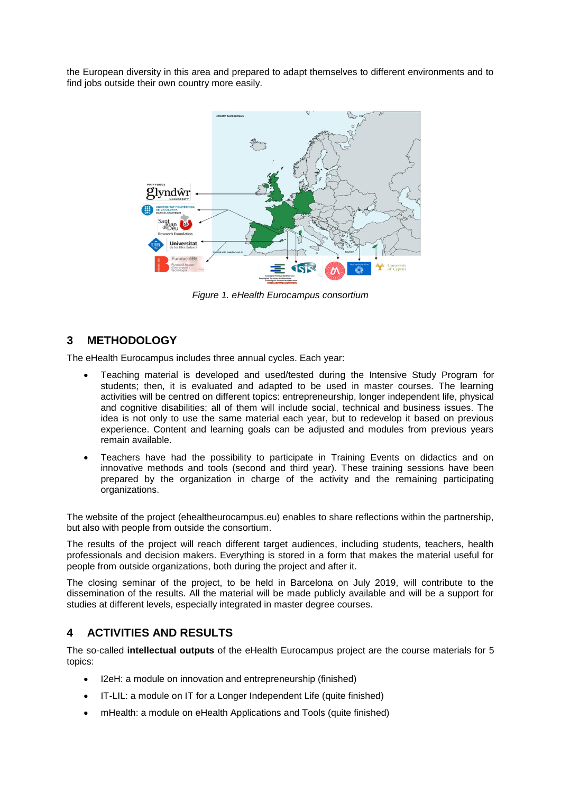the European diversity in this area and prepared to adapt themselves to different environments and to find jobs outside their own country more easily.



*Figure 1. eHealth Eurocampus consortium*

# **3 METHODOLOGY**

The eHealth Eurocampus includes three annual cycles. Each year:

- Teaching material is developed and used/tested during the Intensive Study Program for students; then, it is evaluated and adapted to be used in master courses. The learning activities will be centred on different topics: entrepreneurship, longer independent life, physical and cognitive disabilities; all of them will include social, technical and business issues. The idea is not only to use the same material each year, but to redevelop it based on previous experience. Content and learning goals can be adjusted and modules from previous years remain available.
- Teachers have had the possibility to participate in Training Events on didactics and on innovative methods and tools (second and third year). These training sessions have been prepared by the organization in charge of the activity and the remaining participating organizations.

The website of the project (ehealtheurocampus.eu) enables to share reflections within the partnership, but also with people from outside the consortium.

The results of the project will reach different target audiences, including students, teachers, health professionals and decision makers. Everything is stored in a form that makes the material useful for people from outside organizations, both during the project and after it.

The closing seminar of the project, to be held in Barcelona on July 2019, will contribute to the dissemination of the results. All the material will be made publicly available and will be a support for studies at different levels, especially integrated in master degree courses.

## **4 ACTIVITIES AND RESULTS**

The so-called **intellectual outputs** of the eHealth Eurocampus project are the course materials for 5 topics:

- I2eH: a module on innovation and entrepreneurship (finished)
- IT-LIL: a module on IT for a Longer Independent Life (quite finished)
- mHealth: a module on eHealth Applications and Tools (quite finished)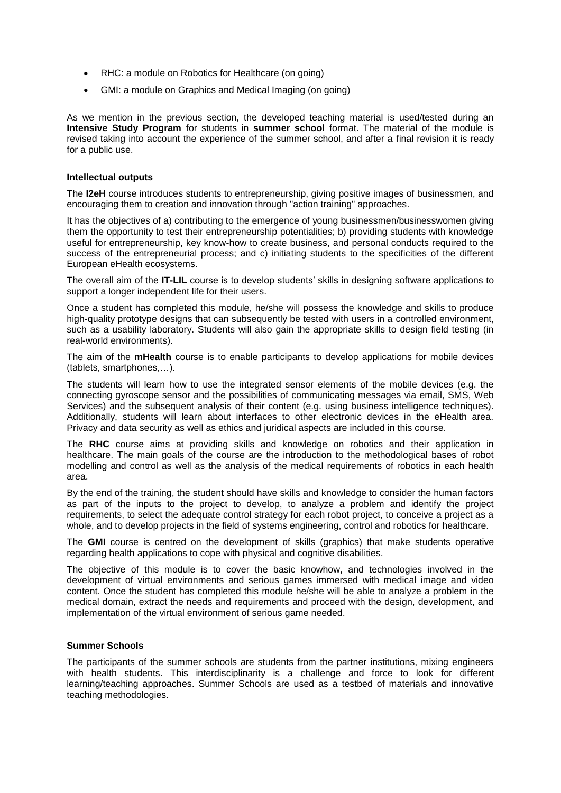- RHC: a module on Robotics for Healthcare (on going)
- GMI: a module on Graphics and Medical Imaging (on going)

As we mention in the previous section, the developed teaching material is used/tested during an **Intensive Study Program** for students in **summer school** format. The material of the module is revised taking into account the experience of the summer school, and after a final revision it is ready for a public use.

### **Intellectual outputs**

The **I2eH** course introduces students to entrepreneurship, giving positive images of businessmen, and encouraging them to creation and innovation through "action training" approaches.

It has the objectives of a) contributing to the emergence of young businessmen/businesswomen giving them the opportunity to test their entrepreneurship potentialities; b) providing students with knowledge useful for entrepreneurship, key know-how to create business, and personal conducts required to the success of the entrepreneurial process; and c) initiating students to the specificities of the different European eHealth ecosystems.

The overall aim of the **IT-LIL** course is to develop students' skills in designing software applications to support a longer independent life for their users.

Once a student has completed this module, he/she will possess the knowledge and skills to produce high-quality prototype designs that can subsequently be tested with users in a controlled environment, such as a usability laboratory. Students will also gain the appropriate skills to design field testing (in real-world environments).

The aim of the **mHealth** course is to enable participants to develop applications for mobile devices (tablets, smartphones,…).

The students will learn how to use the integrated sensor elements of the mobile devices (e.g. the connecting gyroscope sensor and the possibilities of communicating messages via email, SMS, Web Services) and the subsequent analysis of their content (e.g. using business intelligence techniques). Additionally, students will learn about interfaces to other electronic devices in the eHealth area. Privacy and data security as well as ethics and juridical aspects are included in this course.

The **RHC** course aims at providing skills and knowledge on robotics and their application in healthcare. The main goals of the course are the introduction to the methodological bases of robot modelling and control as well as the analysis of the medical requirements of robotics in each health area.

By the end of the training, the student should have skills and knowledge to consider the human factors as part of the inputs to the project to develop, to analyze a problem and identify the project requirements, to select the adequate control strategy for each robot project, to conceive a project as a whole, and to develop projects in the field of systems engineering, control and robotics for healthcare.

The **GMI** course is centred on the development of skills (graphics) that make students operative regarding health applications to cope with physical and cognitive disabilities.

The objective of this module is to cover the basic knowhow, and technologies involved in the development of virtual environments and serious games immersed with medical image and video content. Once the student has completed this module he/she will be able to analyze a problem in the medical domain, extract the needs and requirements and proceed with the design, development, and implementation of the virtual environment of serious game needed.

### **Summer Schools**

The participants of the summer schools are students from the partner institutions, mixing engineers with health students. This interdisciplinarity is a challenge and force to look for different learning/teaching approaches. Summer Schools are used as a testbed of materials and innovative teaching methodologies.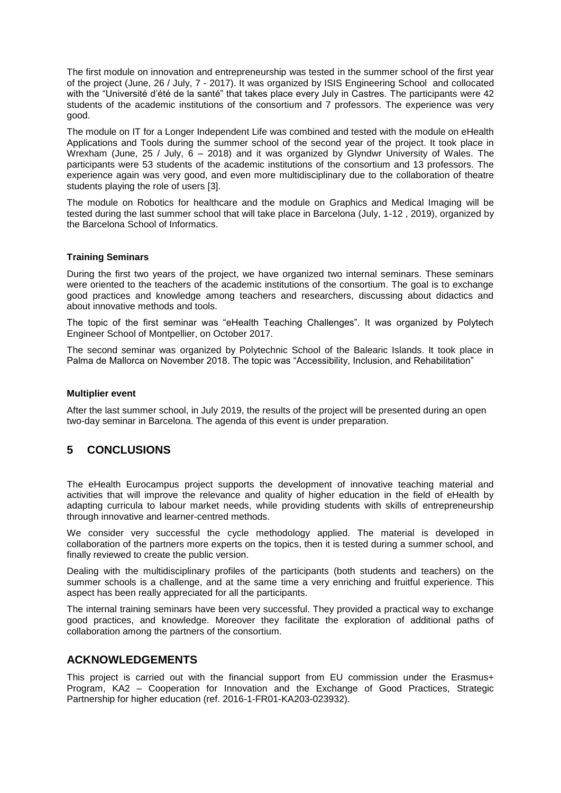The first module on innovation and entrepreneurship was tested in the summer school of the first year of the project (June, 26 / July, 7 - 2017). It was organized by ISIS Engineering School and collocated with the "Université d'été de la santé" that takes place every July in Castres. The participants were 42 students of the academic institutions of the consortium and 7 professors. The experience was very good.

The module on IT for a Longer Independent Life was combined and tested with the module on eHealth Applications and Tools during the summer school of the second year of the project. It took place in Wrexham (June, 25 / July,  $6 - 2018$ ) and it was organized by Glyndwr University of Wales. The participants were 53 students of the academic institutions of the consortium and 13 professors. The experience again was very good, and even more multidisciplinary due to the collaboration of theatre students playing the role of users [3].

The module on Robotics for healthcare and the module on Graphics and Medical Imaging will be tested during the last summer school that will take place in Barcelona (July, 1-12 , 2019), organized by the Barcelona School of Informatics.

### **Training Seminars**

During the first two years of the project, we have organized two internal seminars. These seminars were oriented to the teachers of the academic institutions of the consortium. The goal is to exchange good practices and knowledge among teachers and researchers, discussing about didactics and about innovative methods and tools.

The topic of the first seminar was "eHealth Teaching Challenges". It was organized by Polytech Engineer School of Montpellier, on October 2017.

The second seminar was organized by Polytechnic School of the Balearic Islands. It took place in Palma de Mallorca on November 2018. The topic was "Accessibility, Inclusion, and Rehabilitation"

#### **Multiplier event**

After the last summer school, in July 2019, the results of the project will be presented during an open two-day seminar in Barcelona. The agenda of this event is under preparation.

### **5 CONCLUSIONS**

The eHealth Eurocampus project supports the development of innovative teaching material and activities that will improve the relevance and quality of higher education in the field of eHealth by adapting curricula to labour market needs, while providing students with skills of entrepreneurship through innovative and learner-centred methods.

We consider very successful the cycle methodology applied. The material is developed in collaboration of the partners more experts on the topics, then it is tested during a summer school, and finally reviewed to create the public version.

Dealing with the multidisciplinary profiles of the participants (both students and teachers) on the summer schools is a challenge, and at the same time a very enriching and fruitful experience. This aspect has been really appreciated for all the participants.

The internal training seminars have been very successful. They provided a practical way to exchange good practices, and knowledge. Moreover they facilitate the exploration of additional paths of collaboration among the partners of the consortium.

### **ACKNOWLEDGEMENTS**

This project is carried out with the financial support from EU commission under the Erasmus+ Program, KA2 – Cooperation for Innovation and the Exchange of Good Practices, Strategic Partnership for higher education (ref. 2016-1-FR01-KA203-023932).